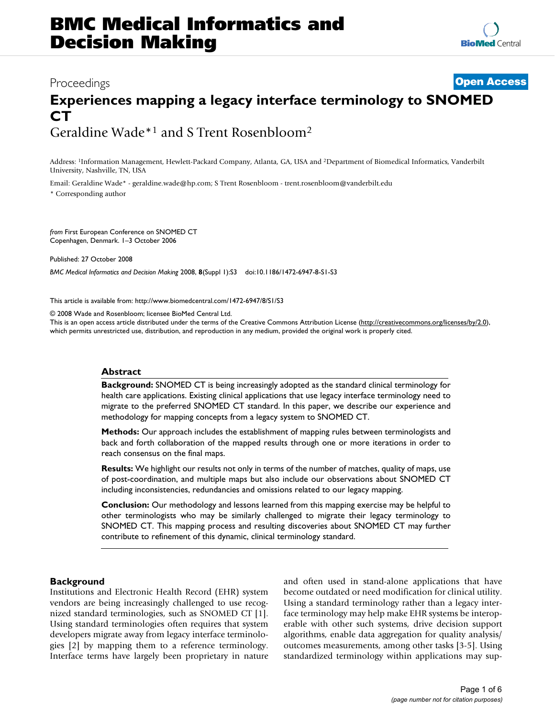# Proceedings **[Open Access](http://www.biomedcentral.com/info/about/charter/) Experiences mapping a legacy interface terminology to SNOMED CT** Geraldine Wade\*1 and S Trent Rosenbloom2

Address: 1Information Management, Hewlett-Packard Company, Atlanta, GA, USA and 2Department of Biomedical Informatics, Vanderbilt University, Nashville, TN, USA

Email: Geraldine Wade\* - geraldine.wade@hp.com; S Trent Rosenbloom - trent.rosenbloom@vanderbilt.edu \* Corresponding author

*from* First European Conference on SNOMED CT Copenhagen, Denmark. 1–3 October 2006

Published: 27 October 2008

*BMC Medical Informatics and Decision Making* 2008, **8**(Suppl 1):S3 doi:10.1186/1472-6947-8-S1-S3

[This article is available from: http://www.biomedcentral.com/1472-6947/8/S1/S3](http://www.biomedcentral.com/1472-6947/8/S1/S3)

© 2008 Wade and Rosenbloom; licensee BioMed Central Ltd.

This is an open access article distributed under the terms of the Creative Commons Attribution License [\(http://creativecommons.org/licenses/by/2.0\)](http://creativecommons.org/licenses/by/2.0), which permits unrestricted use, distribution, and reproduction in any medium, provided the original work is properly cited.

#### **Abstract**

**Background:** SNOMED CT is being increasingly adopted as the standard clinical terminology for health care applications. Existing clinical applications that use legacy interface terminology need to migrate to the preferred SNOMED CT standard. In this paper, we describe our experience and methodology for mapping concepts from a legacy system to SNOMED CT.

**Methods:** Our approach includes the establishment of mapping rules between terminologists and back and forth collaboration of the mapped results through one or more iterations in order to reach consensus on the final maps.

**Results:** We highlight our results not only in terms of the number of matches, quality of maps, use of post-coordination, and multiple maps but also include our observations about SNOMED CT including inconsistencies, redundancies and omissions related to our legacy mapping.

**Conclusion:** Our methodology and lessons learned from this mapping exercise may be helpful to other terminologists who may be similarly challenged to migrate their legacy terminology to SNOMED CT. This mapping process and resulting discoveries about SNOMED CT may further contribute to refinement of this dynamic, clinical terminology standard.

### **Background**

Institutions and Electronic Health Record (EHR) system vendors are being increasingly challenged to use recognized standard terminologies, such as SNOMED CT [1]. Using standard terminologies often requires that system developers migrate away from legacy interface terminologies [2] by mapping them to a reference terminology. Interface terms have largely been proprietary in nature and often used in stand-alone applications that have become outdated or need modification for clinical utility. Using a standard terminology rather than a legacy interface terminology may help make EHR systems be interoperable with other such systems, drive decision support algorithms, enable data aggregation for quality analysis/ outcomes measurements, among other tasks [3-5]. Using standardized terminology within applications may sup-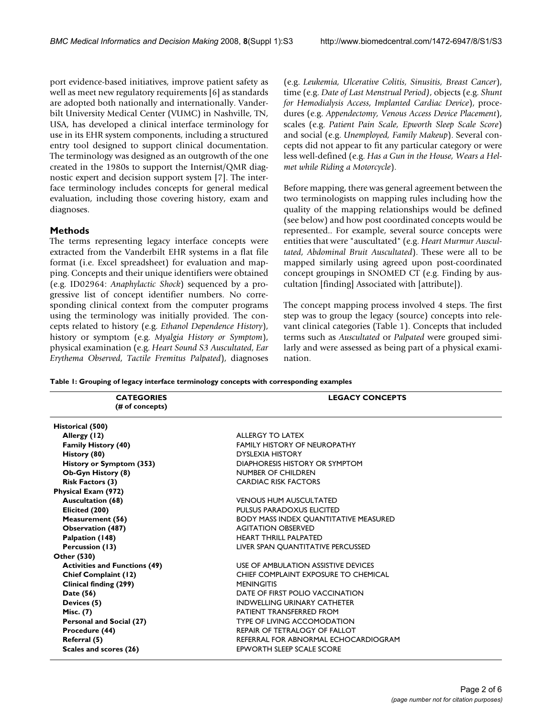port evidence-based initiatives, improve patient safety as well as meet new regulatory requirements [6] as standards are adopted both nationally and internationally. Vanderbilt University Medical Center (VUMC) in Nashville, TN, USA, has developed a clinical interface terminology for use in its EHR system components, including a structured entry tool designed to support clinical documentation. The terminology was designed as an outgrowth of the one created in the 1980s to support the Internist/QMR diagnostic expert and decision support system [7]. The interface terminology includes concepts for general medical evaluation, including those covering history, exam and diagnoses.

# **Methods**

The terms representing legacy interface concepts were extracted from the Vanderbilt EHR systems in a flat file format (i.e. Excel spreadsheet) for evaluation and mapping. Concepts and their unique identifiers were obtained (e.g. ID02964: *Anaphylactic Shock*) sequenced by a progressive list of concept identifier numbers. No corresponding clinical context from the computer programs using the terminology was initially provided. The concepts related to history (e.g. *Ethanol Dependence History*), history or symptom (e.g. *Myalgia History or Symptom*), physical examination (e.g. *Heart Sound S3 Auscultated*, *Ear Erythema Observed*, *Tactile Fremitus Palpated*), diagnoses (e.g. *Leukemia, Ulcerative Colitis, Sinusitis, Breast Cancer*), time (e.g. *Date of Last Menstrual Period)*, objects (e.g. *Shunt for Hemodialysis Access*, *Implanted Cardiac Device*), procedures (e.g. *Appendectomy, Venous Access Device Placement*), scales (e.g. *Patient Pain Scale, Epworth Sleep Scale Score*) and social (e.g. *Unemployed, Family Makeup*). Several concepts did not appear to fit any particular category or were less well-defined (e.g. *Has a Gun in the House, Wears a Helmet while Riding a Motorcycle*).

Before mapping, there was general agreement between the two terminologists on mapping rules including how the quality of the mapping relationships would be defined (see below) and how post coordinated concepts would be represented.. For example, several source concepts were entities that were "auscultated" (e.g. *Heart Murmur Auscultated*, *Abdominal Bruit Auscultated*). These were all to be mapped similarly using agreed upon post-coordinated concept groupings in SNOMED CT (e.g. Finding by auscultation [finding] Associated with [attribute]).

The concept mapping process involved 4 steps. The first step was to group the legacy (source) concepts into relevant clinical categories (Table 1). Concepts that included terms such as *Auscultated* or *Palpated* were grouped similarly and were assessed as being part of a physical examination.

**Table 1: Grouping of legacy interface terminology concepts with corresponding examples**

| <b>CATEGORIES</b><br>(# of concepts) | <b>LEGACY CONCEPTS</b>                       |  |
|--------------------------------------|----------------------------------------------|--|
| Historical (500)                     |                                              |  |
| Allergy (12)                         | ALLERGY TO LATEX                             |  |
| <b>Family History (40)</b>           | <b>FAMILY HISTORY OF NEUROPATHY</b>          |  |
| History (80)                         | <b>DYSLEXIA HISTORY</b>                      |  |
| History or Symptom (353)             | DIAPHORESIS HISTORY OR SYMPTOM               |  |
| Ob-Gyn History (8)                   | NUMBER OF CHILDREN                           |  |
| <b>Risk Factors (3)</b>              | <b>CARDIAC RISK FACTORS</b>                  |  |
| Physical Exam (972)                  |                                              |  |
| <b>Auscultation (68)</b>             | <b>VENOUS HUM AUSCULTATED</b>                |  |
| Elicited (200)                       | PULSUS PARADOXUS ELICITED                    |  |
| <b>Measurement (56)</b>              | <b>BODY MASS INDEX QUANTITATIVE MEASURED</b> |  |
| <b>Observation (487)</b>             | <b>AGITATION OBSERVED</b>                    |  |
| Palpation (148)                      | <b>HEART THRILL PALPATED</b>                 |  |
| <b>Percussion (13)</b>               | LIVER SPAN QUANTITATIVE PERCUSSED            |  |
| Other (530)                          |                                              |  |
| <b>Activities and Functions (49)</b> | USE OF AMBULATION ASSISTIVE DEVICES          |  |
| <b>Chief Complaint (12)</b>          | CHIEF COMPLAINT EXPOSURE TO CHEMICAL         |  |
| Clinical finding (299)               | <b>MENINGITIS</b>                            |  |
| Date (56)                            | DATE OF FIRST POLIO VACCINATION              |  |
| Devices (5)                          | <b>INDWELLING URINARY CATHETER</b>           |  |
| <b>Misc.</b> (7)                     | PATIENT TRANSFERRED FROM                     |  |
| Personal and Social (27)             | TYPE OF LIVING ACCOMODATION                  |  |
| Procedure (44)                       | REPAIR OF TETRALOGY OF FALLOT                |  |
| Referral (5)                         | REFERRAL FOR ABNORMAL ECHOCARDIOGRAM         |  |
| Scales and scores (26)               | EPWORTH SLEEP SCALE SCORE                    |  |
|                                      |                                              |  |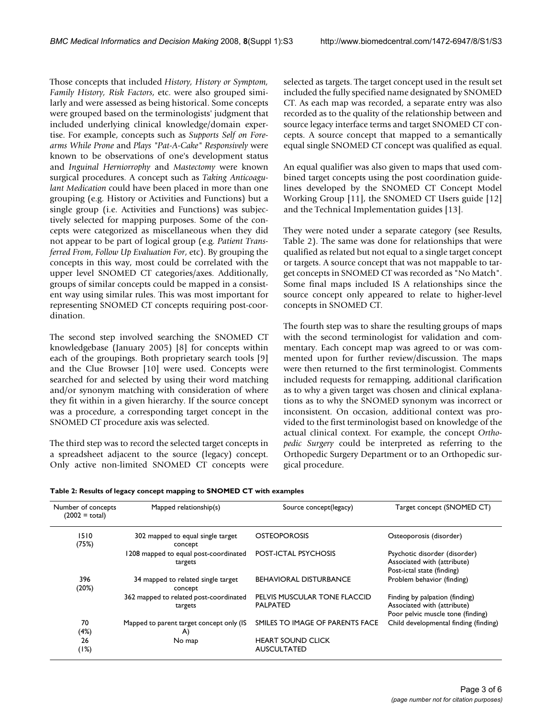Those concepts that included *History, History or Symptom, Family History, Risk Factors*, etc. were also grouped similarly and were assessed as being historical. Some concepts were grouped based on the terminologists' judgment that included underlying clinical knowledge/domain expertise. For example, concepts such as *Supports Self on Forearms While Prone* and *Plays "Pat-A-Cake" Responsively* were known to be observations of one's development status and *Inguinal Herniorrophy* and *Mastectomy* were known surgical procedures. A concept such as *Taking Anticoagulant Medication* could have been placed in more than one grouping (e.g. History or Activities and Functions) but a single group (i.e. Activities and Functions) was subjectively selected for mapping purposes. Some of the concepts were categorized as miscellaneous when they did not appear to be part of logical group (e.g. *Patient Transferred From*, *Follow Up Evaluation For*, etc). By grouping the concepts in this way, most could be correlated with the upper level SNOMED CT categories/axes. Additionally, groups of similar concepts could be mapped in a consistent way using similar rules. This was most important for representing SNOMED CT concepts requiring post-coordination.

The second step involved searching the SNOMED CT knowledgebase (January 2005) [8] for concepts within each of the groupings. Both proprietary search tools [9] and the Clue Browser [10] were used. Concepts were searched for and selected by using their word matching and/or synonym matching with consideration of where they fit within in a given hierarchy. If the source concept was a procedure, a corresponding target concept in the SNOMED CT procedure axis was selected.

The third step was to record the selected target concepts in a spreadsheet adjacent to the source (legacy) concept. Only active non-limited SNOMED CT concepts were selected as targets. The target concept used in the result set included the fully specified name designated by SNOMED CT. As each map was recorded, a separate entry was also recorded as to the quality of the relationship between and source legacy interface terms and target SNOMED CT concepts. A source concept that mapped to a semantically equal single SNOMED CT concept was qualified as equal.

An equal qualifier was also given to maps that used combined target concepts using the post coordination guidelines developed by the SNOMED CT Concept Model Working Group [11], the SNOMED CT Users guide [12] and the Technical Implementation guides [13].

They were noted under a separate category (see Results, Table 2). The same was done for relationships that were qualified as related but not equal to a single target concept or targets. A source concept that was not mappable to target concepts in SNOMED CT was recorded as "No Match". Some final maps included IS A relationships since the source concept only appeared to relate to higher-level concepts in SNOMED CT.

The fourth step was to share the resulting groups of maps with the second terminologist for validation and commentary. Each concept map was agreed to or was commented upon for further review/discussion. The maps were then returned to the first terminologist. Comments included requests for remapping, additional clarification as to why a given target was chosen and clinical explanations as to why the SNOMED synonym was incorrect or inconsistent. On occasion, additional context was provided to the first terminologist based on knowledge of the actual clinical context. For example, the concept *Orthopedic Surgery* could be interpreted as referring to the Orthopedic Surgery Department or to an Orthopedic surgical procedure.

|  |  | Table 2: Results of legacy concept mapping to SNOMED CT with examples |  |  |  |
|--|--|-----------------------------------------------------------------------|--|--|--|
|  |  |                                                                       |  |  |  |

| Number of concepts<br>$(2002 = total)$ | Mapped relationship(s)                            | Source concept(legacy)                          | Target concept (SNOMED CT)                                                                         |
|----------------------------------------|---------------------------------------------------|-------------------------------------------------|----------------------------------------------------------------------------------------------------|
| 1510<br>(75%)                          | 302 mapped to equal single target<br>concept      | <b>OSTEOPOROSIS</b>                             | Osteoporosis (disorder)                                                                            |
|                                        | 1208 mapped to equal post-coordinated<br>targets  | POST-ICTAL PSYCHOSIS                            | Psychotic disorder (disorder)<br>Associated with (attribute)<br>Post-ictal state (finding)         |
| 396<br>(20%)                           | 34 mapped to related single target<br>concept     | <b>BEHAVIORAL DISTURBANCE</b>                   | Problem behavior (finding)                                                                         |
|                                        | 362 mapped to related post-coordinated<br>targets | PELVIS MUSCULAR TONE FLACCID<br><b>PALPATED</b> | Finding by palpation (finding)<br>Associated with (attribute)<br>Poor pelvic muscle tone (finding) |
| 70<br>(4%)                             | Mapped to parent target concept only (IS<br>A)    | SMILES TO IMAGE OF PARENTS FACE                 | Child developmental finding (finding)                                                              |
| 26<br>(1%)                             | No map                                            | <b>HEART SOUND CLICK</b><br><b>AUSCULTATED</b>  |                                                                                                    |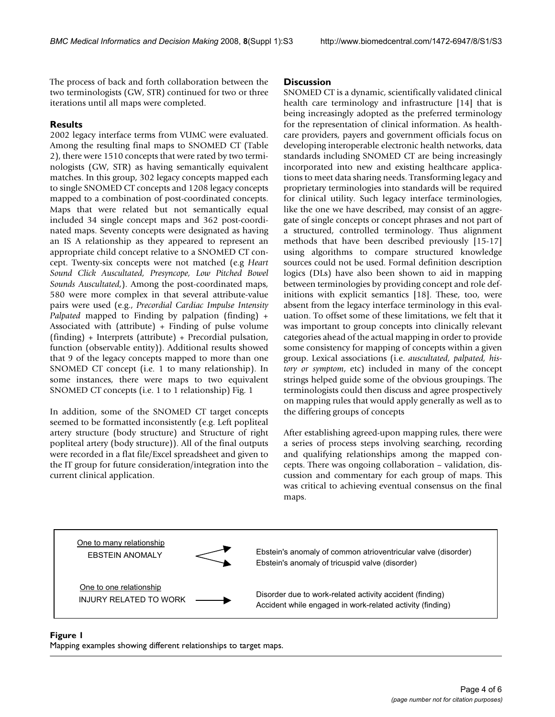The process of back and forth collaboration between the two terminologists (GW, STR) continued for two or three iterations until all maps were completed.

## **Results**

2002 legacy interface terms from VUMC were evaluated. Among the resulting final maps to SNOMED CT (Table 2), there were 1510 concepts that were rated by two terminologists (GW, STR) as having semantically equivalent matches. In this group, 302 legacy concepts mapped each to single SNOMED CT concepts and 1208 legacy concepts mapped to a combination of post-coordinated concepts. Maps that were related but not semantically equal included 34 single concept maps and 362 post-coordinated maps. Seventy concepts were designated as having an IS A relationship as they appeared to represent an appropriate child concept relative to a SNOMED CT concept. Twenty-six concepts were not matched (e.g *Heart Sound Click Auscultated, Presyncope, Low Pitched Bowel Sounds Auscultated*,). Among the post-coordinated maps, 580 were more complex in that several attribute-value pairs were used (e.g., *Precordial Cardiac Impulse Intensity Palpated* mapped to Finding by palpation (finding) + Associated with (attribute) + Finding of pulse volume (finding) + Interprets (attribute) + Precordial pulsation, function (observable entity)). Additional results showed that 9 of the legacy concepts mapped to more than one SNOMED CT concept (i.e. 1 to many relationship). In some instances, there were maps to two equivalent SNOMED CT concepts (i.e. 1 to 1 relationship) Fig. 1

In addition, some of the SNOMED CT target concepts seemed to be formatted inconsistently (e.g. Left popliteal artery structure (body structure) and Structure of right popliteal artery (body structure)). All of the final outputs were recorded in a flat file/Excel spreadsheet and given to the IT group for future consideration/integration into the current clinical application.

#### **Discussion**

SNOMED CT is a dynamic, scientifically validated clinical health care terminology and infrastructure [14] that is being increasingly adopted as the preferred terminology for the representation of clinical information. As healthcare providers, payers and government officials focus on developing interoperable electronic health networks, data standards including SNOMED CT are being increasingly incorporated into new and existing healthcare applications to meet data sharing needs. Transforming legacy and proprietary terminologies into standards will be required for clinical utility. Such legacy interface terminologies, like the one we have described, may consist of an aggregate of single concepts or concept phrases and not part of a structured, controlled terminology. Thus alignment methods that have been described previously [15-17] using algorithms to compare structured knowledge sources could not be used. Formal definition description logics (DLs) have also been shown to aid in mapping between terminologies by providing concept and role definitions with explicit semantics [18]. These, too, were absent from the legacy interface terminology in this evaluation. To offset some of these limitations, we felt that it was important to group concepts into clinically relevant categories ahead of the actual mapping in order to provide some consistency for mapping of concepts within a given group. Lexical associations (i.e. *auscultated, palpated, history or symptom*, etc) included in many of the concept strings helped guide some of the obvious groupings. The terminologists could then discuss and agree prospectively on mapping rules that would apply generally as well as to the differing groups of concepts

After establishing agreed-upon mapping rules, there were a series of process steps involving searching, recording and qualifying relationships among the mapped concepts. There was ongoing collaboration – validation, discussion and commentary for each group of maps. This was critical to achieving eventual consensus on the final maps.



### Figure 1

Mapping examples showing different relationships to target maps.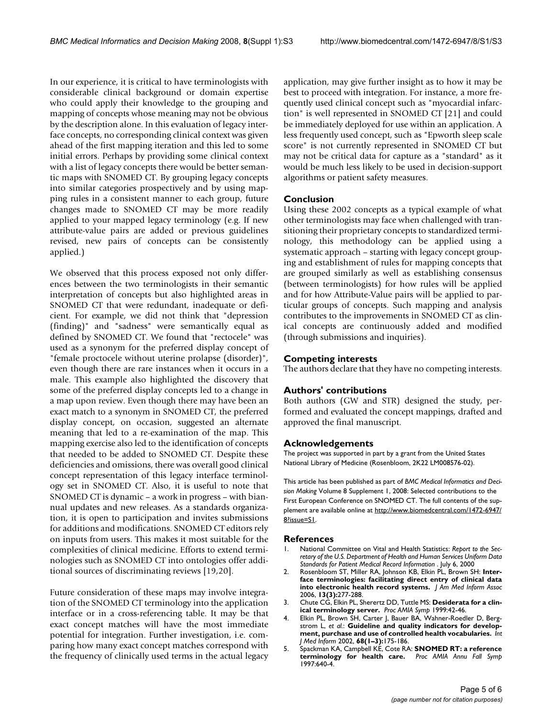In our experience, it is critical to have terminologists with considerable clinical background or domain expertise who could apply their knowledge to the grouping and mapping of concepts whose meaning may not be obvious by the description alone. In this evaluation of legacy interface concepts, no corresponding clinical context was given ahead of the first mapping iteration and this led to some initial errors. Perhaps by providing some clinical context with a list of legacy concepts there would be better semantic maps with SNOMED CT. By grouping legacy concepts into similar categories prospectively and by using mapping rules in a consistent manner to each group, future changes made to SNOMED CT may be more readily applied to your mapped legacy terminology (e.g. If new attribute-value pairs are added or previous guidelines revised, new pairs of concepts can be consistently applied.)

We observed that this process exposed not only differences between the two terminologists in their semantic interpretation of concepts but also highlighted areas in SNOMED CT that were redundant, inadequate or deficient. For example, we did not think that "depression (finding)" and "sadness" were semantically equal as defined by SNOMED CT. We found that "rectocele" was used as a synonym for the preferred display concept of "female proctocele without uterine prolapse (disorder)", even though there are rare instances when it occurs in a male. This example also highlighted the discovery that some of the preferred display concepts led to a change in a map upon review. Even though there may have been an exact match to a synonym in SNOMED CT, the preferred display concept, on occasion, suggested an alternate meaning that led to a re-examination of the map. This mapping exercise also led to the identification of concepts that needed to be added to SNOMED CT. Despite these deficiencies and omissions, there was overall good clinical concept representation of this legacy interface terminology set in SNOMED CT. Also, it is useful to note that SNOMED CT is dynamic – a work in progress – with biannual updates and new releases. As a standards organization, it is open to participation and invites submissions for additions and modifications. SNOMED CT editors rely on inputs from users. This makes it most suitable for the complexities of clinical medicine. Efforts to extend terminologies such as SNOMED CT into ontologies offer additional sources of discriminating reviews [19,20].

Future consideration of these maps may involve integration of the SNOMED CT terminology into the application interface or in a cross-referencing table. It may be that exact concept matches will have the most immediate potential for integration. Further investigation, i.e. comparing how many exact concept matches correspond with the frequency of clinically used terms in the actual legacy application, may give further insight as to how it may be best to proceed with integration. For instance, a more frequently used clinical concept such as "myocardial infarction" is well represented in SNOMED CT [21] and could be immediately deployed for use within an application. A less frequently used concept, such as "Epworth sleep scale score" is not currently represented in SNOMED CT but may not be critical data for capture as a "standard" as it would be much less likely to be used in decision-support algorithms or patient safety measures.

# **Conclusion**

Using these 2002 concepts as a typical example of what other terminologists may face when challenged with transitioning their proprietary concepts to standardized terminology, this methodology can be applied using a systematic approach – starting with legacy concept grouping and establishment of rules for mapping concepts that are grouped similarly as well as establishing consensus (between terminologists) for how rules will be applied and for how Attribute-Value pairs will be applied to particular groups of concepts. Such mapping and analysis contributes to the improvements in SNOMED CT as clinical concepts are continuously added and modified (through submissions and inquiries).

### **Competing interests**

The authors declare that they have no competing interests.

### **Authors' contributions**

Both authors (GW and STR) designed the study, performed and evaluated the concept mappings, drafted and approved the final manuscript.

#### **Acknowledgements**

The project was supported in part by a grant from the United States National Library of Medicine (Rosenbloom, 2K22 LM008576-02).

This article has been published as part of *BMC Medical Informatics and Decision Making* Volume 8 Supplement 1, 2008: Selected contributions to the First European Conference on SNOMED CT. The full contents of the supplement are available online at [http://www.biomedcentral.com/1472-6947/](http://www.biomedcentral.com/1472-6947/8?issue=S1) [8?issue=S1.](http://www.biomedcentral.com/1472-6947/8?issue=S1)

#### **References**

- 1. National Committee on Vital and Health Statistics: *Report to the Secretary of the U.S. Department of Health and Human Services Uniform Data Standards for Patient Medical Record Information* . July 6, 2000
- 2. Rosenbloom ST, Miller RA, Johnson KB, Elkin PL, Brown SH: **[Inter](http://www.ncbi.nlm.nih.gov/entrez/query.fcgi?cmd=Retrieve&db=PubMed&dopt=Abstract&list_uids=16501181)[face terminologies: facilitating direct entry of clinical data](http://www.ncbi.nlm.nih.gov/entrez/query.fcgi?cmd=Retrieve&db=PubMed&dopt=Abstract&list_uids=16501181) [into electronic health record systems.](http://www.ncbi.nlm.nih.gov/entrez/query.fcgi?cmd=Retrieve&db=PubMed&dopt=Abstract&list_uids=16501181)** *J Am Med Inform Assoc* 2006, **13(3):**277-288.
- 3. Chute CG, Elkin PL, Sherertz DD, Tuttle MS: **[Desiderata for a clin](http://www.ncbi.nlm.nih.gov/entrez/query.fcgi?cmd=Retrieve&db=PubMed&dopt=Abstract&list_uids=10566317)[ical terminology server.](http://www.ncbi.nlm.nih.gov/entrez/query.fcgi?cmd=Retrieve&db=PubMed&dopt=Abstract&list_uids=10566317)** *Proc AMIA Symp* 1999:42-46.
- 4. Elkin PL, Brown SH, Carter J, Bauer BA, Wahner-Roedler D, Bergstrom L, *et al.*: **[Guideline and quality indicators for develop](http://www.ncbi.nlm.nih.gov/entrez/query.fcgi?cmd=Retrieve&db=PubMed&dopt=Abstract&list_uids=12467801)[ment, purchase and use of controlled health vocabularies.](http://www.ncbi.nlm.nih.gov/entrez/query.fcgi?cmd=Retrieve&db=PubMed&dopt=Abstract&list_uids=12467801)** *Int J Med Inform* 2002, **68(1–3):**175-186.
- 5. Spackman KA, Campbell KE, Cote RA: **[SNOMED RT: a reference](http://www.ncbi.nlm.nih.gov/entrez/query.fcgi?cmd=Retrieve&db=PubMed&dopt=Abstract&list_uids=9357704) [terminology for health care.](http://www.ncbi.nlm.nih.gov/entrez/query.fcgi?cmd=Retrieve&db=PubMed&dopt=Abstract&list_uids=9357704)** *Proc AMIA Annu Fall Symp* 1997:640-4.